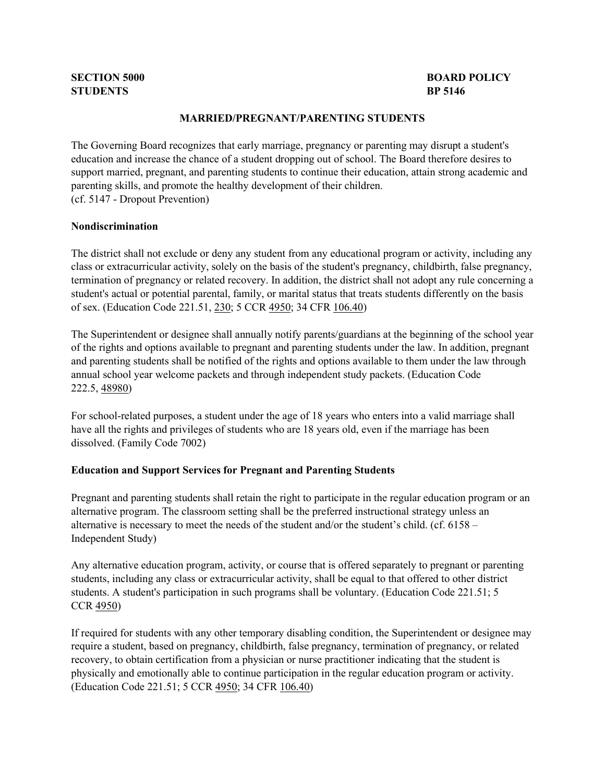# **STUDENTS BP 5146**

# **SECTION 5000 BOARD POLICY**

#### **MARRIED/PREGNANT/PARENTING STUDENTS**

The Governing Board recognizes that early marriage, pregnancy or parenting may disrupt a student's education and increase the chance of a student dropping out of school. The Board therefore desires to support married, pregnant, and parenting students to continue their education, attain strong academic and parenting skills, and promote the healthy development of their children. (cf. 5147 - Dropout Prevention)

#### **Nondiscrimination**

The district shall not exclude or deny any student from any educational program or activity, including any class or extracurricular activity, solely on the basis of the student's pregnancy, childbirth, false pregnancy, termination of pregnancy or related recovery. In addition, the district shall not adopt any rule concerning a student's actual or potential parental, family, or marital status that treats students differently on the basis of sex. (Education Code 221.51, [230;](http://gamutonline.net/displayPolicy/128867/5) 5 CCR [4950;](http://gamutonline.net/displayPolicy/187054/5) 34 CFR [106.40\)](http://gamutonline.net/displayPolicy/274457/5)

The Superintendent or designee shall annually notify parents/guardians at the beginning of the school year of the rights and options available to pregnant and parenting students under the law. In addition, pregnant and parenting students shall be notified of the rights and options available to them under the law through annual school year welcome packets and through independent study packets. (Education Code 222.5, [48980\)](http://gamutonline.net/displayPolicy/226041/5)

For school-related purposes, a student under the age of 18 years who enters into a valid marriage shall have all the rights and privileges of students who are 18 years old, even if the marriage has been dissolved. (Family Code 7002)

#### **Education and Support Services for Pregnant and Parenting Students**

Pregnant and parenting students shall retain the right to participate in the regular education program or an alternative program. The classroom setting shall be the preferred instructional strategy unless an alternative is necessary to meet the needs of the student and/or the student's child. (cf. 6158 – Independent Study)

Any alternative education program, activity, or course that is offered separately to pregnant or parenting students, including any class or extracurricular activity, shall be equal to that offered to other district students. A student's participation in such programs shall be voluntary. (Education Code 221.51; 5 CCR [4950\)](http://gamutonline.net/displayPolicy/187054/5)

If required for students with any other temporary disabling condition, the Superintendent or designee may require a student, based on pregnancy, childbirth, false pregnancy, termination of pregnancy, or related recovery, to obtain certification from a physician or nurse practitioner indicating that the student is physically and emotionally able to continue participation in the regular education program or activity. (Education Code 221.51; 5 CCR [4950;](http://gamutonline.net/displayPolicy/187054/5) 34 CFR [106.40\)](http://gamutonline.net/displayPolicy/274457/5)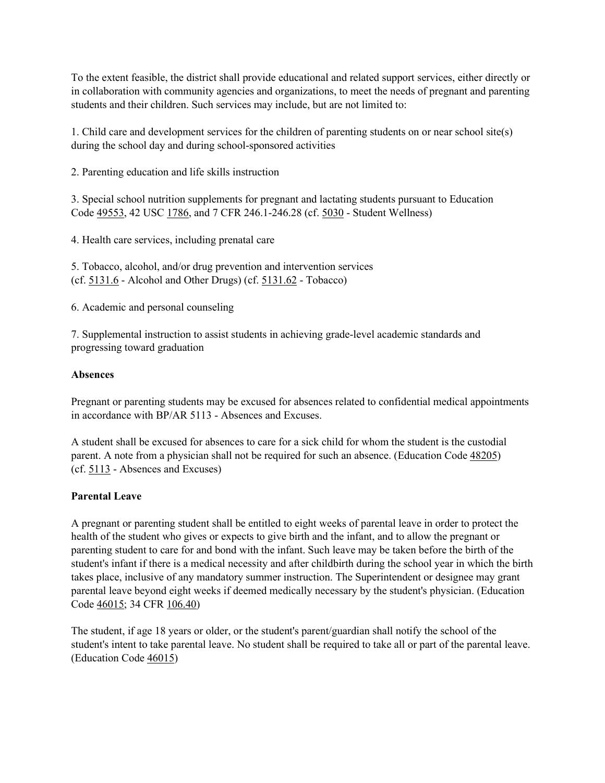To the extent feasible, the district shall provide educational and related support services, either directly or in collaboration with community agencies and organizations, to meet the needs of pregnant and parenting students and their children. Such services may include, but are not limited to:

1. Child care and development services for the children of parenting students on or near school site(s) during the school day and during school-sponsored activities

2. Parenting education and life skills instruction

3. Special school nutrition supplements for pregnant and lactating students pursuant to Education Code [49553,](http://gamutonline.net/displayPolicy/138817/5) 42 USC [1786,](http://gamutonline.net/displayPolicy/371182/5) and 7 CFR 246.1-246.28 (cf. [5030](http://gamutonline.net/displayPolicy/367951/5) - Student Wellness)

4. Health care services, including prenatal care

5. Tobacco, alcohol, and/or drug prevention and intervention services (cf. [5131.6](http://gamutonline.net/displayPolicy/171128/5) - Alcohol and Other Drugs) (cf. [5131.62](http://gamutonline.net/displayPolicy/1053074/5) - Tobacco)

6. Academic and personal counseling

7. Supplemental instruction to assist students in achieving grade-level academic standards and progressing toward graduation

#### **Absences**

Pregnant or parenting students may be excused for absences related to confidential medical appointments in accordance with BP/AR 5113 - Absences and Excuses.

A student shall be excused for absences to care for a sick child for whom the student is the custodial parent. A note from a physician shall not be required for such an absence. (Education Code [48205\)](http://gamutonline.net/displayPolicy/138126/5) (cf. [5113](http://gamutonline.net/displayPolicy/171542/5) - Absences and Excuses)

#### **Parental Leave**

A pregnant or parenting student shall be entitled to eight weeks of parental leave in order to protect the health of the student who gives or expects to give birth and the infant, and to allow the pregnant or parenting student to care for and bond with the infant. Such leave may be taken before the birth of the student's infant if there is a medical necessity and after childbirth during the school year in which the birth takes place, inclusive of any mandatory summer instruction. The Superintendent or designee may grant parental leave beyond eight weeks if deemed medically necessary by the student's physician. (Education Code [46015;](http://gamutonline.net/displayPolicy/131975/5) 34 CFR [106.40\)](http://gamutonline.net/displayPolicy/274457/5)

The student, if age 18 years or older, or the student's parent/guardian shall notify the school of the student's intent to take parental leave. No student shall be required to take all or part of the parental leave. (Education Code [46015\)](http://gamutonline.net/displayPolicy/131975/5)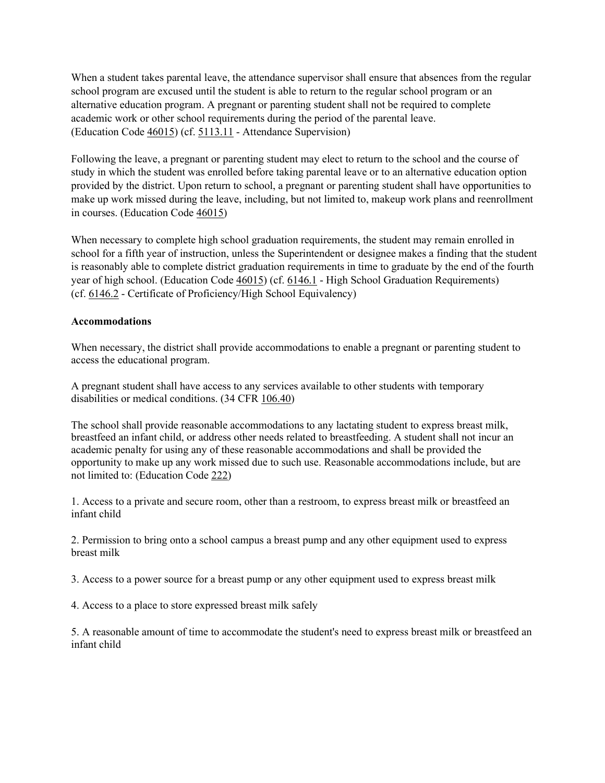When a student takes parental leave, the attendance supervisor shall ensure that absences from the regular school program are excused until the student is able to return to the regular school program or an alternative education program. A pregnant or parenting student shall not be required to complete academic work or other school requirements during the period of the parental leave. (Education Code [46015\)](http://gamutonline.net/displayPolicy/131975/5) (cf. [5113.11](http://gamutonline.net/displayPolicy/1087184/5) - Attendance Supervision)

Following the leave, a pregnant or parenting student may elect to return to the school and the course of study in which the student was enrolled before taking parental leave or to an alternative education option provided by the district. Upon return to school, a pregnant or parenting student shall have opportunities to make up work missed during the leave, including, but not limited to, makeup work plans and reenrollment in courses. (Education Code [46015\)](http://gamutonline.net/displayPolicy/131975/5)

When necessary to complete high school graduation requirements, the student may remain enrolled in school for a fifth year of instruction, unless the Superintendent or designee makes a finding that the student is reasonably able to complete district graduation requirements in time to graduate by the end of the fourth year of high school. (Education Code [46015\)](http://gamutonline.net/displayPolicy/131975/5) (cf. [6146.1](http://gamutonline.net/displayPolicy/352667/5) - High School Graduation Requirements) (cf. [6146.2](http://gamutonline.net/displayPolicy/292827/5) - Certificate of Proficiency/High School Equivalency)

## **Accommodations**

When necessary, the district shall provide accommodations to enable a pregnant or parenting student to access the educational program.

A pregnant student shall have access to any services available to other students with temporary disabilities or medical conditions. (34 CFR [106.40\)](http://gamutonline.net/displayPolicy/274457/5)

The school shall provide reasonable accommodations to any lactating student to express breast milk, breastfeed an infant child, or address other needs related to breastfeeding. A student shall not incur an academic penalty for using any of these reasonable accommodations and shall be provided the opportunity to make up any work missed due to such use. Reasonable accommodations include, but are not limited to: (Education Code [222\)](http://gamutonline.net/displayPolicy/1040625/5)

1. Access to a private and secure room, other than a restroom, to express breast milk or breastfeed an infant child

2. Permission to bring onto a school campus a breast pump and any other equipment used to express breast milk

3. Access to a power source for a breast pump or any other equipment used to express breast milk

4. Access to a place to store expressed breast milk safely

5. A reasonable amount of time to accommodate the student's need to express breast milk or breastfeed an infant child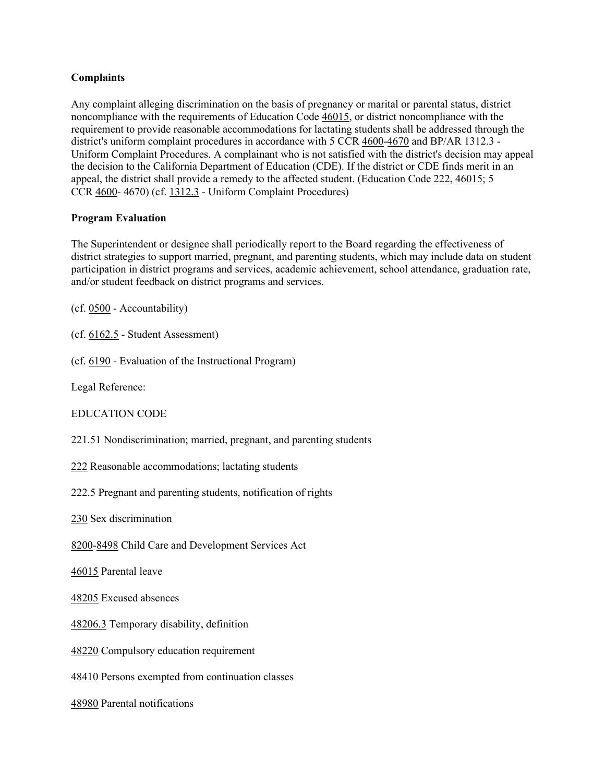## **Complaints**

Any complaint alleging discrimination on the basis of pregnancy or marital or parental status, district noncompliance with the requirements of Education Code [46015,](http://gamutonline.net/displayPolicy/131975/5) or district noncompliance with the requirement to provide reasonable accommodations for lactating students shall be addressed through the district's uniform complaint procedures in accordance with 5 CCR [4600-](http://gamutonline.net/displayPolicy/187020/5)[4670](http://gamutonline.net/displayPolicy/187039/5) and BP/AR 1312.3 - Uniform Complaint Procedures. A complainant who is not satisfied with the district's decision may appeal the decision to the California Department of Education (CDE). If the district or CDE finds merit in an appeal, the district shall provide a remedy to the affected student. (Education Code [222,](http://gamutonline.net/displayPolicy/1040625/5) [46015;](http://gamutonline.net/displayPolicy/131975/5) 5 CCR [4600-](http://gamutonline.net/displayPolicy/187020/5) 4670) (cf. [1312.3](http://gamutonline.net/displayPolicy/1074993/5) - Uniform Complaint Procedures)

#### **Program Evaluation**

The Superintendent or designee shall periodically report to the Board regarding the effectiveness of district strategies to support married, pregnant, and parenting students, which may include data on student participation in district programs and services, academic achievement, school attendance, graduation rate, and/or student feedback on district programs and services.

(cf. [0500](http://gamutonline.net/displayPolicy/171712/5) - Accountability)

(cf. [6162.5](http://gamutonline.net/displayPolicy/909494/5) - Student Assessment)

(cf. [6190](http://gamutonline.net/displayPolicy/259635/5) - Evaluation of the Instructional Program)

Legal Reference:

EDUCATION CODE

221.51 Nondiscrimination; married, pregnant, and parenting students

[222](http://gamutonline.net/displayPolicy/1040625/5) Reasonable accommodations; lactating students

222.5 Pregnant and parenting students, notification of rights

[230](http://gamutonline.net/displayPolicy/128867/5) Sex discrimination

[8200](http://gamutonline.net/displayPolicy/129304/5)[-8498](http://gamutonline.net/displayPolicy/129482/5) Child Care and Development Services Act

[46015](http://gamutonline.net/displayPolicy/131975/5) Parental leave

[48205](http://gamutonline.net/displayPolicy/138126/5) Excused absences

[48206.3](http://gamutonline.net/displayPolicy/132074/5) Temporary disability, definition

[48220](http://gamutonline.net/displayPolicy/132098/5) Compulsory education requirement

[48410](http://gamutonline.net/displayPolicy/132146/5) Persons exempted from continuation classes

[48980](http://gamutonline.net/displayPolicy/226041/5) Parental notifications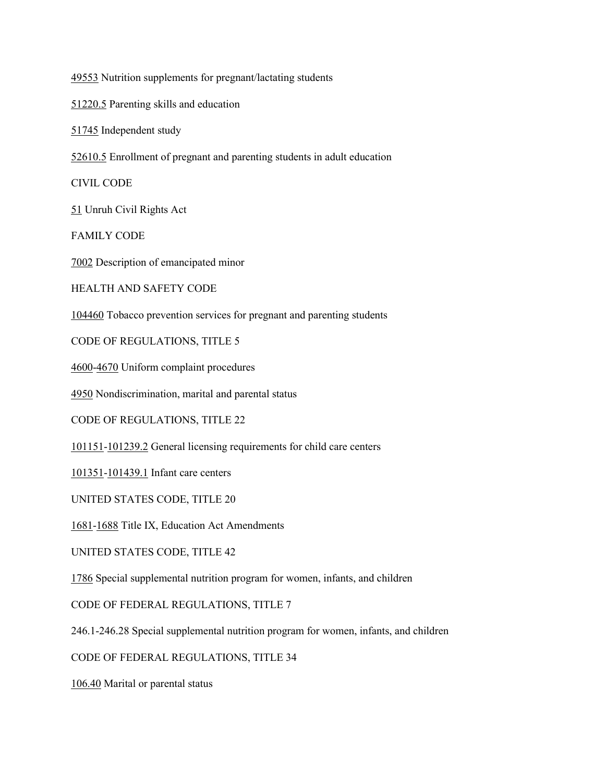[49553](http://gamutonline.net/displayPolicy/138817/5) Nutrition supplements for pregnant/lactating students

[51220.5](http://gamutonline.net/displayPolicy/132669/5) Parenting skills and education

[51745](http://gamutonline.net/displayPolicy/137989/5) Independent study

[52610.5](http://gamutonline.net/displayPolicy/133051/5) Enrollment of pregnant and parenting students in adult education

CIVIL CODE

[51](http://gamutonline.net/displayPolicy/226216/5) Unruh Civil Rights Act

FAMILY CODE

[7002](http://gamutonline.net/displayPolicy/140490/5) Description of emancipated minor

HEALTH AND SAFETY CODE

[104460](http://gamutonline.net/displayPolicy/149490/5) Tobacco prevention services for pregnant and parenting students

CODE OF REGULATIONS, TITLE 5

[4600](http://gamutonline.net/displayPolicy/187020/5)[-4670](http://gamutonline.net/displayPolicy/187039/5) Uniform complaint procedures

[4950](http://gamutonline.net/displayPolicy/187054/5) Nondiscrimination, marital and parental status

CODE OF REGULATIONS, TITLE 22

[101151](http://gamutonline.net/displayPolicy/293825/5)[-101239.2](http://gamutonline.net/displayPolicy/368007/5) General licensing requirements for child care centers

[101351](http://gamutonline.net/displayPolicy/293884/5)[-101439.1](http://gamutonline.net/displayPolicy/293906/5) Infant care centers

UNITED STATES CODE, TITLE 20

[1681](http://gamutonline.net/displayPolicy/189980/5)[-1688](http://gamutonline.net/displayPolicy/189987/5) Title IX, Education Act Amendments

UNITED STATES CODE, TITLE 42

[1786](http://gamutonline.net/displayPolicy/371182/5) Special supplemental nutrition program for women, infants, and children

CODE OF FEDERAL REGULATIONS, TITLE 7

246.1-246.28 Special supplemental nutrition program for women, infants, and children

CODE OF FEDERAL REGULATIONS, TITLE 34

[106.40](http://gamutonline.net/displayPolicy/274457/5) Marital or parental status